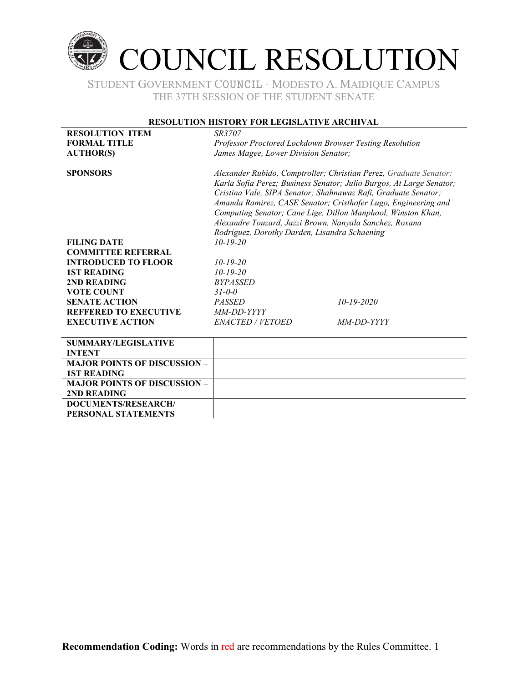

#### **RESOLUTION HISTORY FOR LEGISLATIVE ARCHIVAL**

| <b>RESOLUTION ITEM</b>              | <i>SR3707</i>                                                                                                                                                                             |                                                                |  |
|-------------------------------------|-------------------------------------------------------------------------------------------------------------------------------------------------------------------------------------------|----------------------------------------------------------------|--|
| <b>FORMAL TITLE</b>                 | Professor Proctored Lockdown Browser Testing Resolution                                                                                                                                   |                                                                |  |
| <b>AUTHOR(S)</b>                    | James Magee, Lower Division Senator;                                                                                                                                                      |                                                                |  |
|                                     |                                                                                                                                                                                           |                                                                |  |
| <b>SPONSORS</b>                     | Alexander Rubido, Comptroller; Christian Perez, Graduate Senator;<br>Karla Sofia Perez; Business Senator; Julio Burgos, At Large Senator;                                                 |                                                                |  |
|                                     |                                                                                                                                                                                           |                                                                |  |
|                                     |                                                                                                                                                                                           | Cristina Vale, SIPA Senator; Shahnawaz Rafi, Graduate Senator; |  |
|                                     | Amanda Ramirez, CASE Senator; Cristhofer Lugo, Engineering and<br>Computing Senator; Cane Lige, Dillon Manphool, Winston Khan,<br>Alexandre Touzard, Jazzi Brown, Nanyala Sanchez, Roxana |                                                                |  |
|                                     |                                                                                                                                                                                           |                                                                |  |
|                                     |                                                                                                                                                                                           |                                                                |  |
|                                     | Rodriguez, Dorothy Darden, Lisandra Schaening                                                                                                                                             |                                                                |  |
| <b>FILING DATE</b>                  | $10 - 19 - 20$                                                                                                                                                                            |                                                                |  |
| <b>COMMITTEE REFERRAL</b>           |                                                                                                                                                                                           |                                                                |  |
| <b>INTRODUCED TO FLOOR</b>          | $10 - 19 - 20$                                                                                                                                                                            |                                                                |  |
| <b>1ST READING</b>                  | $10 - 19 - 20$                                                                                                                                                                            |                                                                |  |
| 2ND READING                         | <b>BYPASSED</b>                                                                                                                                                                           |                                                                |  |
| <b>VOTE COUNT</b>                   | $31 - 0 - 0$                                                                                                                                                                              |                                                                |  |
| <b>SENATE ACTION</b>                | <b>PASSED</b>                                                                                                                                                                             | $10 - 19 - 2020$                                               |  |
| <b>REFFERED TO EXECUTIVE</b>        | MM-DD-YYYY                                                                                                                                                                                |                                                                |  |
| <b>EXECUTIVE ACTION</b>             | <b>ENACTED / VETOED</b>                                                                                                                                                                   | <i>MM-DD-YYYY</i>                                              |  |
|                                     |                                                                                                                                                                                           |                                                                |  |
| <b>SUMMARY/LEGISLATIVE</b>          |                                                                                                                                                                                           |                                                                |  |
| <b>INTENT</b>                       |                                                                                                                                                                                           |                                                                |  |
| <b>MAJOR POINTS OF DISCUSSION -</b> |                                                                                                                                                                                           |                                                                |  |
| <b>1ST READING</b>                  |                                                                                                                                                                                           |                                                                |  |
| <b>MAJOR POINTS OF DISCUSSION -</b> |                                                                                                                                                                                           |                                                                |  |
| 2ND READING                         |                                                                                                                                                                                           |                                                                |  |
| <b>DOCUMENTS/RESEARCH/</b>          |                                                                                                                                                                                           |                                                                |  |
| PERSONAL STATEMENTS                 |                                                                                                                                                                                           |                                                                |  |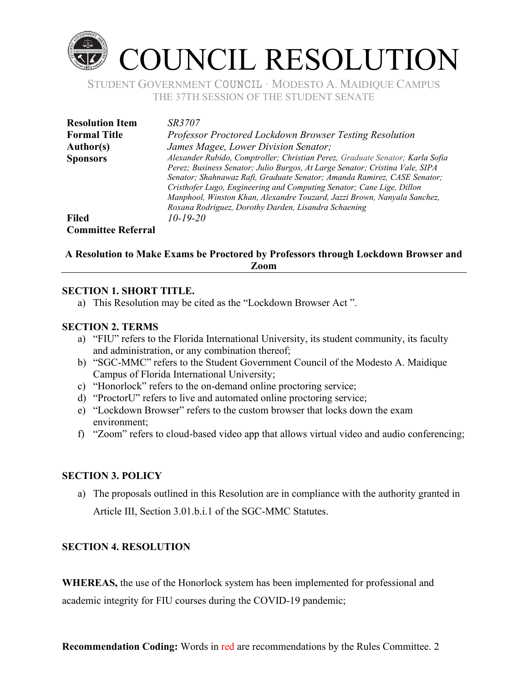

| <b>Resolution Item</b>    | <i>SR3707</i>                                                                                                                                                                                                                                                                                                                                                                                                                                          |
|---------------------------|--------------------------------------------------------------------------------------------------------------------------------------------------------------------------------------------------------------------------------------------------------------------------------------------------------------------------------------------------------------------------------------------------------------------------------------------------------|
| <b>Formal Title</b>       | Professor Proctored Lockdown Browser Testing Resolution                                                                                                                                                                                                                                                                                                                                                                                                |
| Author(s)                 | James Magee, Lower Division Senator;                                                                                                                                                                                                                                                                                                                                                                                                                   |
| <b>Sponsors</b>           | Alexander Rubido, Comptroller; Christian Perez, Graduate Senator; Karla Sofia<br>Perez; Business Senator; Julio Burgos, At Large Senator; Cristina Vale, SIPA<br>Senator; Shahnawaz Rafi, Graduate Senator; Amanda Ramirez, CASE Senator;<br>Cristhofer Lugo, Engineering and Computing Senator; Cane Lige, Dillon<br>Manphool, Winston Khan, Alexandre Touzard, Jazzi Brown, Nanyala Sanchez,<br>Roxana Rodriguez, Dorothy Darden, Lisandra Schaening |
| <b>Filed</b>              | $10 - 19 - 20$                                                                                                                                                                                                                                                                                                                                                                                                                                         |
| <b>Committee Referral</b> |                                                                                                                                                                                                                                                                                                                                                                                                                                                        |

# A Resolution to Make Exams be Proctored by Professors through Lockdown Browser and Zoom

## **SECTION 1. SHORT TITLE.**

a) This Resolution may be cited as the "Lockdown Browser Act".

### **SECTION 2. TERMS**

- a) "FIU" refers to the Florida International University, its student community, its faculty and administration, or any combination thereof;
- b) "SGC-MMC" refers to the Student Government Council of the Modesto A. Maidique Campus of Florida International University;
- c) "Honorlock" refers to the on-demand online proctoring service;
- d) "ProctorU" refers to live and automated online proctoring service;
- e) "Lockdown Browser" refers to the custom browser that locks down the exam environment;
- f) "Zoom" refers to cloud-based video app that allows virtual video and audio conferencing;

### **SECTION 3. POLICY**

a) The proposals outlined in this Resolution are in compliance with the authority granted in

Article III, Section 3.01.b.i.1 of the SGC-MMC Statutes.

# **SECTION 4. RESOLUTION**

**WHEREAS**, the use of the Honorlock system has been implemented for professional and academic integrity for FIU courses during the COVID-19 pandemic;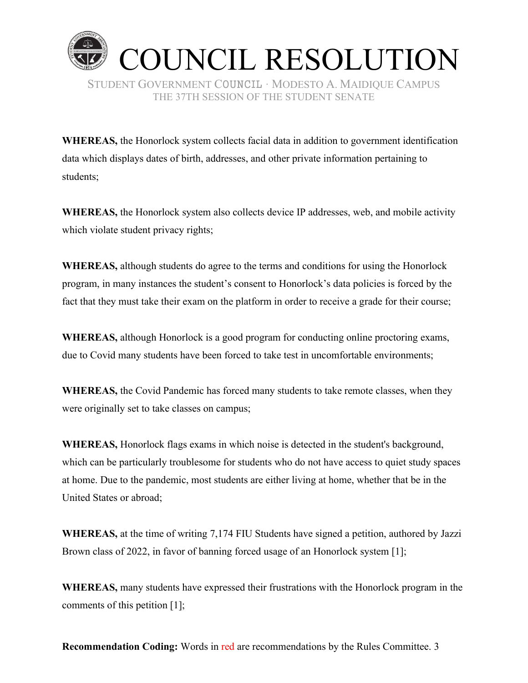

**WHEREAS,** the Honorlock system collects facial data in addition to government identification data which displays dates of birth, addresses, and other private information pertaining to students;

**WHEREAS,** the Honorlock system also collects device IP addresses, web, and mobile activity which violate student privacy rights;

**WHEREAS,** although students do agree to the terms and conditions for using the Honorlock program, in many instances the student's consent to Honorlock's data policies is forced by the fact that they must take their exam on the platform in order to receive a grade for their course;

**WHEREAS,** although Honorlock is a good program for conducting online proctoring exams, due to Covid many students have been forced to take test in uncomfortable environments;

**WHEREAS,** the Covid Pandemic has forced many students to take remote classes, when they were originally set to take classes on campus;

**WHEREAS,** Honorlock flags exams in which noise is detected in the student's background, which can be particularly troublesome for students who do not have access to quiet study spaces at home. Due to the pandemic, most students are either living at home, whether that be in the United States or abroad;

**WHEREAS,** at the time of writing 7,174 FIU Students have signed a petition, authored by Jazzi Brown class of 2022, in favor of banning forced usage of an Honorlock system [1];

**WHEREAS,** many students have expressed their frustrations with the Honorlock program in the comments of this petition [1];

**Recommendation Coding:** Words in red are recommendations by the Rules Committee. 3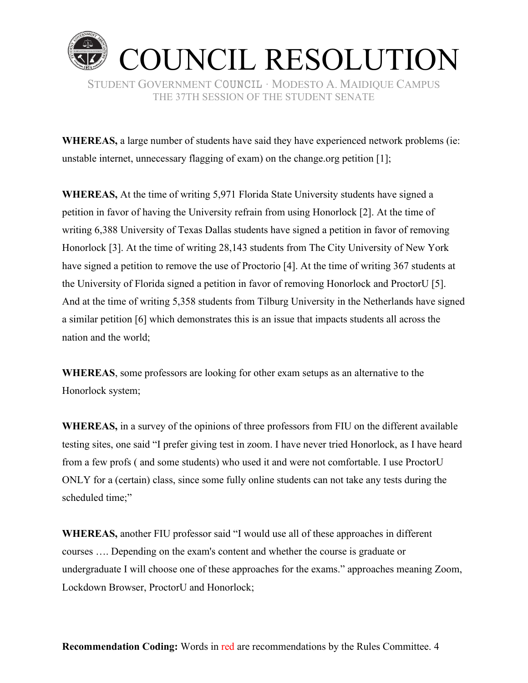

**WHEREAS,** a large number of students have said they have experienced network problems (ie: unstable internet, unnecessary flagging of exam) on the change org petition [1];

**WHEREAS,** At the time of writing 5,971 Florida State University students have signed a petition in favor of having the University refrain from using Honorlock [2]. At the time of writing 6,388 University of Texas Dallas students have signed a petition in favor of removing Honorlock [3]. At the time of writing 28,143 students from The City University of New York have signed a petition to remove the use of Proctorio [4]. At the time of writing 367 students at the University of Florida signed a petition in favor of removing Honorlock and ProctorU [5]. And at the time of writing 5,358 students from Tilburg University in the Netherlands have signed a similar petition [6] which demonstrates this is an issue that impacts students all across the nation and the world;

**WHEREAS**, some professors are looking for other exam setups as an alternative to the Honorlock system;

WHEREAS, in a survey of the opinions of three professors from FIU on the different available testing sites, one said "I prefer giving test in zoom. I have never tried Honorlock, as I have heard from a few profs (and some students) who used it and were not comfortable. I use ProctorU ONLY for a (certain) class, since some fully online students can not take any tests during the scheduled time;"

WHEREAS, another FIU professor said "I would use all of these approaches in different courses .... Depending on the exam's content and whether the course is graduate or undergraduate I will choose one of these approaches for the exams." approaches meaning Zoom, Lockdown Browser, ProctorU and Honorlock;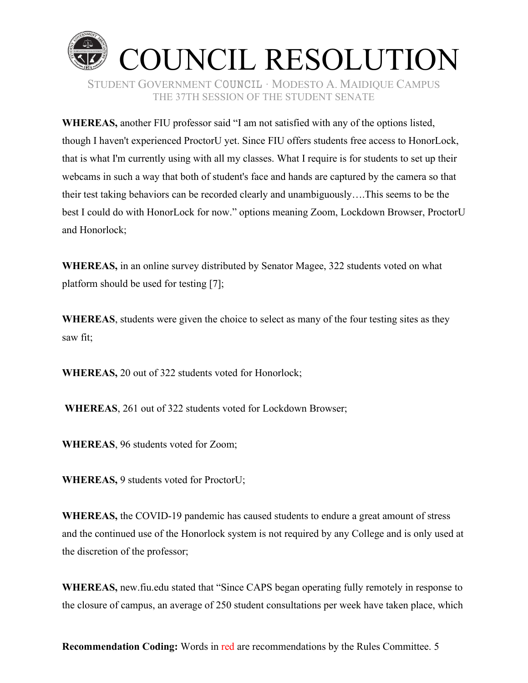

**WHEREAS, another FIU professor said "I am not satisfied with any of the options listed,** though I haven't experienced ProctorU yet. Since FIU offers students free access to HonorLock, that is what I'm currently using with all my classes. What I require is for students to set up their webcams in such a way that both of student's face and hands are captured by the camera so that their test taking behaviors can be recorded clearly and unambiguously....This seems to be the best I could do with HonorLock for now." options meaning Zoom, Lockdown Browser, ProctorU and Honorlock:

WHEREAS, in an online survey distributed by Senator Magee, 322 students voted on what platform should be used for testing [7];

**WHEREAS**, students were given the choice to select as many of the four testing sites as they saw fit;

**WHEREAS, 20 out of 322 students voted for Honorlock;** 

WHEREAS, 261 out of 322 students voted for Lockdown Browser;

**WHEREAS, 96 students voted for Zoom;** 

**WHEREAS, 9 students voted for ProctorU:** 

**WHEREAS,** the COVID-19 pandemic has caused students to endure a great amount of stress and the continued use of the Honorlock system is not required by any College and is only used at the discretion of the professor;

WHEREAS, new fiu.edu stated that "Since CAPS began operating fully remotely in response to the closure of campus, an average of 250 student consultations per week have taken place, which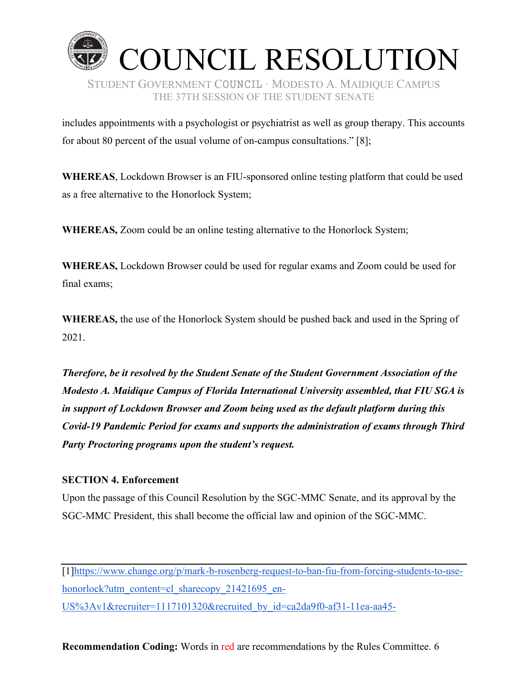

includes appointments with a psychologist or psychiatrist as well as group therapy. This accounts for about 80 percent of the usual volume of on-campus consultations.<sup> $\gamma$ </sup> [8];

**WHEREAS**, Lockdown Browser is an FIU-sponsored online testing platform that could be used as a free alternative to the Honorlock System;

**WHEREAS,** Zoom could be an online testing alternative to the Honorlock System;

**WHEREAS,** Lockdown Browser could be used for regular exams and Zoom could be used for final exams;

**WHEREAS,** the use of the Honorlock System should be pushed back and used in the Spring of 2021.

*Therefore, be it resolved by the Student Senate of the Student Government Association of the Modesto A. Maidique Campus of Florida International University assembled, that FIU SGA is in support of Lockdown Browser and Zoom being used as the default platform during this Covid-19 Pandemic Period for exams and supports the administration of exams through Third Party Proctoring programs upon the student's request.* 

## **SECTION 4. Enforcement**

Upon the passage of this Council Resolution by the SGC-MMC Senate, and its approval by the SGC-MMC President, this shall become the official law and opinion of the SGC-MMC.

[1][https://www.change.org/p/mark-b-rosenberg-request-to-ban-fiu-from-forcing-students-to-use](https://www.change.org/p/mark-b-rosenberg-request-to-ban-fiu-from-forcing-students-to-use-honorlock?utm_content=cl_sharecopy_21421695_en-US:v1&recruiter=1117101320&recruited_by_id=ca2da9f0-af31-11ea-aa45-d5d2601d2af1&utm_source=share_petition&utm_medium=copylink&utm_campaign=psf_combo_share_initial&utm_term=psf_combo_share_initial)[honorlock?utm\\_content=cl\\_sharecopy\\_21421695\\_en-](https://www.change.org/p/mark-b-rosenberg-request-to-ban-fiu-from-forcing-students-to-use-honorlock?utm_content=cl_sharecopy_21421695_en-US:v1&recruiter=1117101320&recruited_by_id=ca2da9f0-af31-11ea-aa45-d5d2601d2af1&utm_source=share_petition&utm_medium=copylink&utm_campaign=psf_combo_share_initial&utm_term=psf_combo_share_initial)US%3Av1&recruiter=1117101320&recruited by id=ca2da9f0-af31-11ea-aa45-

**Recommendation Coding:** Words in red are recommendations by the Rules Committee. 6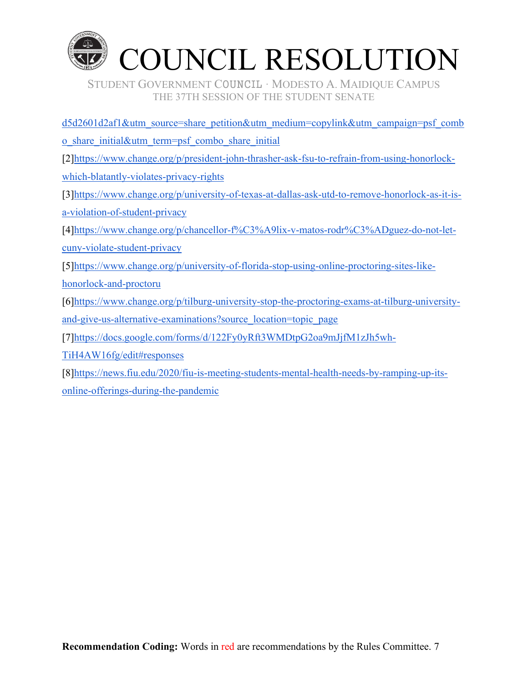

[d5d2601d2af1&utm\\_source=share\\_petition&utm\\_medium=copylink&utm\\_campaign=psf\\_comb](https://www.change.org/p/mark-b-rosenberg-request-to-ban-fiu-from-forcing-students-to-use-honorlock?utm_content=cl_sharecopy_21421695_en-US:v1&recruiter=1117101320&recruited_by_id=ca2da9f0-af31-11ea-aa45-d5d2601d2af1&utm_source=share_petition&utm_medium=copylink&utm_campaign=psf_combo_share_initial&utm_term=psf_combo_share_initial) [o\\_share\\_initial&utm\\_term=psf\\_combo\\_share\\_initial](https://www.change.org/p/mark-b-rosenberg-request-to-ban-fiu-from-forcing-students-to-use-honorlock?utm_content=cl_sharecopy_21421695_en-US:v1&recruiter=1117101320&recruited_by_id=ca2da9f0-af31-11ea-aa45-d5d2601d2af1&utm_source=share_petition&utm_medium=copylink&utm_campaign=psf_combo_share_initial&utm_term=psf_combo_share_initial) [2][https://www.change.org/p/president-john-thrasher-ask-fsu-to-refrain-from-using-honorlock](https://www.change.org/p/president-john-thrasher-ask-fsu-to-refrain-from-using-honorlock-which-blatantly-violates-privacy-rights)[which-blatantly-violates-privacy-rights](https://www.change.org/p/president-john-thrasher-ask-fsu-to-refrain-from-using-honorlock-which-blatantly-violates-privacy-rights) [3[\]https://www.change.org/p/university-of-texas-at-dallas-ask-utd-to-remove-honorlock-as-it-is](https://www.change.org/p/university-of-texas-at-dallas-ask-utd-to-remove-honorlock-as-it-is-a-violation-of-student-privacy)[a-violation-of-student-privacy](https://www.change.org/p/university-of-texas-at-dallas-ask-utd-to-remove-honorlock-as-it-is-a-violation-of-student-privacy) [4[\]https://www.change.org/p/chancellor-f%C3%A9lix-v-matos-rodr%C3%ADguez-do-not-let](https://www.change.org/p/chancellor-f%C3%A9lix-v-matos-rodr%C3%ADguez-do-not-let-cuny-violate-student-privacy)[cuny-violate-student-privacy](https://www.change.org/p/chancellor-f%C3%A9lix-v-matos-rodr%C3%ADguez-do-not-let-cuny-violate-student-privacy) [5[\]https://www.change.org/p/university-of-florida-stop-using-online-proctoring-sites-like](https://www.change.org/p/university-of-florida-stop-using-online-proctoring-sites-like-honorlock-and-proctoru)[honorlock-and-proctoru](https://www.change.org/p/university-of-florida-stop-using-online-proctoring-sites-like-honorlock-and-proctoru) [6[\]https://www.change.org/p/tilburg-university-stop-the-proctoring-exams-at-tilburg-university-](https://www.change.org/p/tilburg-university-stop-the-proctoring-exams-at-tilburg-university-and-give-us-alternative-examinations?source_location=topic_page)

[and-give-us-alternative-examinations?source\\_location=topic\\_page](https://www.change.org/p/tilburg-university-stop-the-proctoring-exams-at-tilburg-university-and-give-us-alternative-examinations?source_location=topic_page)

[7][https://docs.google.com/forms/d/122Fy0yRft3WMDtpG2oa9mJjfM1zJh5wh-](https://docs.google.com/forms/d/122Fy0yRft3WMDtpG2oa9mJjfM1zJh5wh-TiH4AW16fg/edit%23responses)

[TiH4AW16fg/edit#responses](https://docs.google.com/forms/d/122Fy0yRft3WMDtpG2oa9mJjfM1zJh5wh-TiH4AW16fg/edit%23responses)

[8[\]https://news.fiu.edu/2020/fiu-is-meeting-students-mental-health-needs-by-ramping-up-its](https://news.fiu.edu/2020/fiu-is-meeting-students-mental-health-needs-by-ramping-up-its-online-offerings-during-the-pandemic)[online-offerings-during-the-pandemic](https://news.fiu.edu/2020/fiu-is-meeting-students-mental-health-needs-by-ramping-up-its-online-offerings-during-the-pandemic)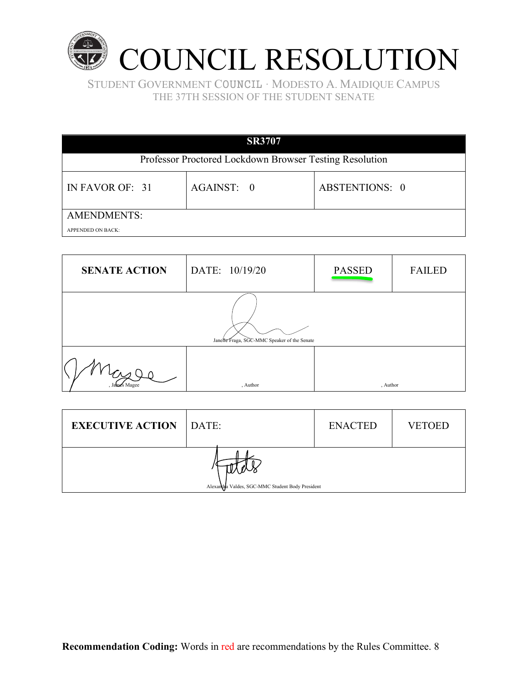

| <b>SR3707</b>                                           |            |                       |  |  |  |
|---------------------------------------------------------|------------|-----------------------|--|--|--|
| Professor Proctored Lockdown Browser Testing Resolution |            |                       |  |  |  |
| IN FAVOR OF: 31                                         | AGAINST: 0 | <b>ABSTENTIONS: 0</b> |  |  |  |
| <b>AMENDMENTS:</b>                                      |            |                       |  |  |  |
| <b>APPENDED ON BACK:</b>                                |            |                       |  |  |  |

| <b>SENATE ACTION</b>                         | DATE: 10/19/20 | <b>PASSED</b> | <b>FAILED</b> |  |
|----------------------------------------------|----------------|---------------|---------------|--|
| Janelle Fraga, SGC-MMC Speaker of the Senate |                |               |               |  |
|                                              | , Author       | , Author      |               |  |

| <b>EXECUTIVE ACTION</b> DATE:                    |  | <b>ENACTED</b> | <b>VETOED</b> |  |
|--------------------------------------------------|--|----------------|---------------|--|
| Alexandra Valdes, SGC-MMC Student Body President |  |                |               |  |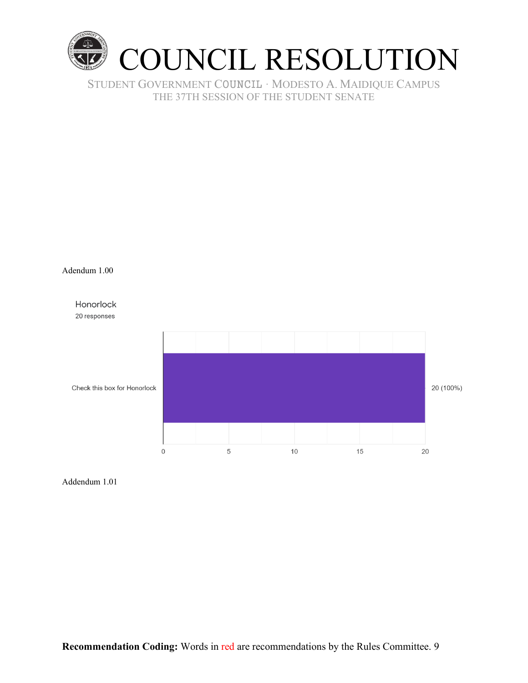





Addendum 1.01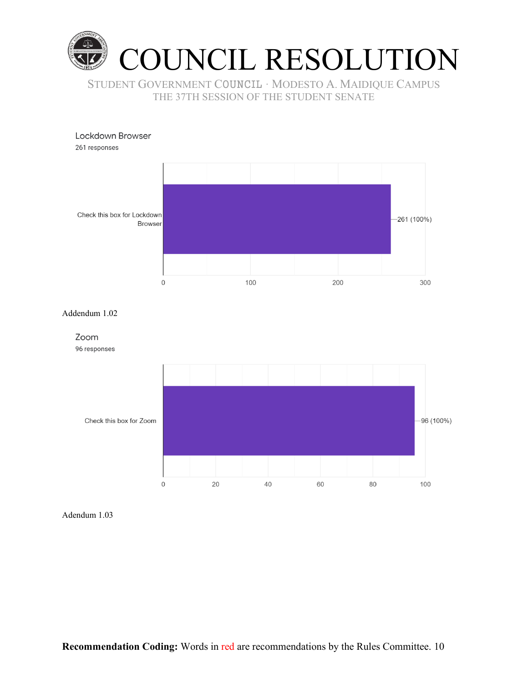



Addendum 1.02



Adendum 1.03